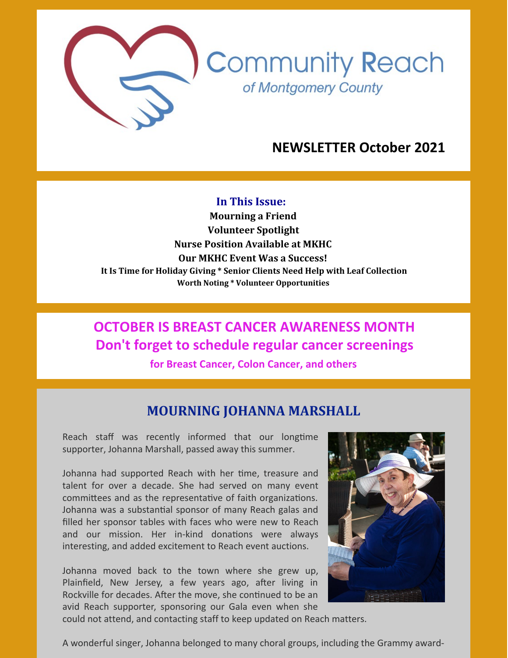

**Community Reach** of Montgomery County

## **NEWSLETTER October 2021**

#### **In This Issue:**

**Mourning a Friend Volunteer Spotlight Nurse Position Available at MKHC Our MKHC Event Was a Success! It Is Time for Holiday Giving \* Senior Clients Need Help with Leaf Collection Worth Noting \* Volunteer Opportunities**

# **OCTOBER IS BREAST CANCER AWARENESS MONTH Don't forget to schedule regular cancer screenings**

**for Breast Cancer, Colon Cancer, and others**

### **MOURNING JOHANNA MARSHALL**

Reach staff was recently informed that our longtime supporter, Johanna Marshall, passed away this summer.

Johanna had supported Reach with her time, treasure and talent for over a decade. She had served on many event committees and as the representative of faith organizations. Johanna was a substantial sponsor of many Reach galas and filled her sponsor tables with faces who were new to Reach and our mission. Her in-kind donations were always interesting, and added excitement to Reach event auctions.

Johanna moved back to the town where she grew up, Plainfield, New Jersey, a few years ago, after living in Rockville for decades. After the move, she continued to be an avid Reach supporter, sponsoring our Gala even when she



could not attend, and contacting staff to keep updated on Reach matters.

A wonderful singer, Johanna belonged to many choral groups, including the Grammy award-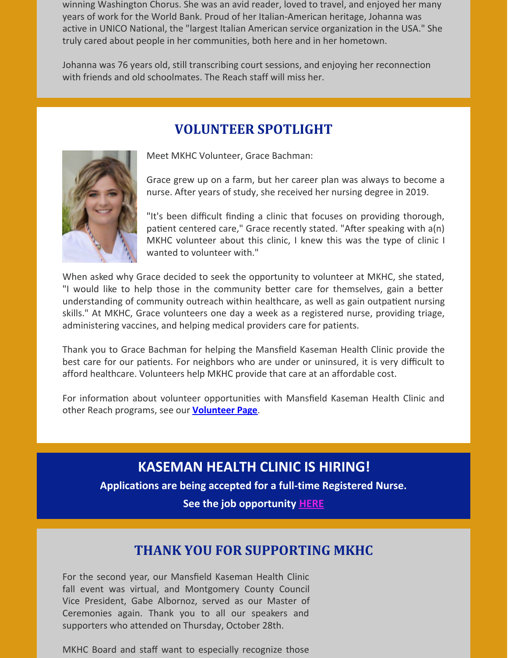winning Washington Chorus. She was an avid reader, loved to travel, and enjoyed her many years of work for the World Bank. Proud of her Italian-American heritage, Johanna was active in UNICO National, the "largest Italian American service organization in the USA." She truly cared about people in her communities, both here and in her hometown.

Johanna was 76 years old, still transcribing court sessions, and enjoying her reconnection with friends and old schoolmates. The Reach staff will miss her.

## **VOLUNTEER SPOTLIGHT**



Meet MKHC Volunteer, Grace Bachman:

Grace grew up on a farm, but her career plan was always to become a nurse. After years of study, she received her nursing degree in 2019.

"It's been difficult finding a clinic that focuses on providing thorough, patient centered care," Grace recently stated. "After speaking with a(n) MKHC volunteer about this clinic, I knew this was the type of clinic I wanted to volunteer with."

When asked why Grace decided to seek the opportunity to volunteer at MKHC, she stated, "I would like to help those in the community better care for themselves, gain a better understanding of community outreach within healthcare, as well as gain outpatient nursing skills." At MKHC, Grace volunteers one day a week as a registered nurse, providing triage, administering vaccines, and helping medical providers care for patients.

Thank you to Grace Bachman for helping the Mansfield Kaseman Health Clinic provide the best care for our patients. For neighbors who are under or uninsured, it is very difficult to afford healthcare. Volunteers help MKHC provide that care at an affordable cost.

For information about volunteer opportunities with Mansfield Kaseman Health Clinic and other Reach programs, see our **[Volunteer](https://www.cmrocks.org/copy-of-volunteer) Page**.

## **KASEMAN HEALTH CLINIC IS HIRING!**

**Applications are being accepted for a full-time Registered Nurse. See the job opportunity [HERE](https://www.cmrocks.org/jobs)**

### **THANK YOU FOR SUPPORTING MKHC**

For the second year, our Mansfield Kaseman Health Clinic fall event was virtual, and Montgomery County Council Vice President, Gabe Albornoz, served as our Master of Ceremonies again. Thank you to all our speakers and supporters who attended on Thursday, October 28th.

MKHC Board and staff want to especially recognize those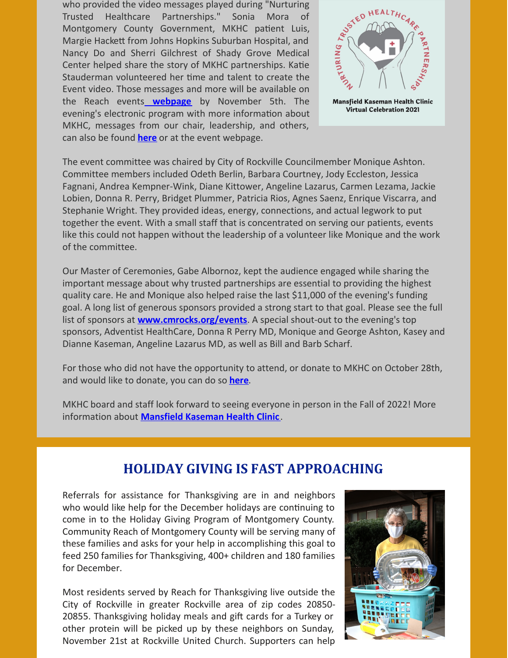who provided the video messages played during "Nurturing Trusted Healthcare Partnerships." Sonia Mora of Montgomery County Government, MKHC patient Luis, Margie Hackett from Johns Hopkins Suburban Hospital, and Nancy Do and Sherri Gilchrest of Shady Grove Medical Center helped share the story of MKHC partnerships. Katie Stauderman volunteered her time and talent to create the Event video. Those messages and more will be available on the Reach events **[webpage](https://www.cmrocks.org/events)** by November 5th. The evening's electronic program with more information about MKHC, messages from our chair, leadership, and others, can also be found **[here](https://files.constantcontact.com/c267fd3d201/2ca5e7a2-be79-4285-94d1-f7ecb1f91dc9.pdf)** or at the event webpage.



The event committee was chaired by City of Rockville Councilmember Monique Ashton. Committee members included Odeth Berlin, Barbara Courtney, Jody Eccleston, Jessica Fagnani, Andrea Kempner-Wink, Diane Kittower, Angeline Lazarus, Carmen Lezama, Jackie Lobien, Donna R. Perry, Bridget Plummer, Patricia Rios, Agnes Saenz, Enrique Viscarra, and Stephanie Wright. They provided ideas, energy, connections, and actual legwork to put together the event. With a small staff that is concentrated on serving our patients, events like this could not happen without the leadership of a volunteer like Monique and the work of the committee.

Our Master of Ceremonies, Gabe Albornoz, kept the audience engaged while sharing the important message about why trusted partnerships are essential to providing the highest quality care. He and Monique also helped raise the last \$11,000 of the evening's funding goal. A long list of generous sponsors provided a strong start to that goal. Please see the full list of sponsors at **[www.cmrocks.org/events](https://www.cmrocks.org/events)**. A special shout-out to the evening's top sponsors, Adventist HealthCare, Donna R Perry MD, Monique and George Ashton, Kasey and Dianne Kaseman, Angeline Lazarus MD, as well as Bill and Barb Scharf.

For those who did not have the opportunity to attend, or donate to MKHC on October 28th, and would like to donate, you can do so **[here](https://www.paypal.com/donate?hosted_button_id=LJ4AEEUQQP3R6)**.

MKHC board and staff look forward to seeing everyone in person in the Fall of 2022! More information about **[Mansfield](https://www.cmrocks.org/mkhc) Kaseman Health Clinic** .

### **HOLIDAY GIVING IS FAST APPROACHING**

Referrals for assistance for Thanksgiving are in and neighbors who would like help for the December holidays are continuing to come in to the Holiday Giving Program of Montgomery County. Community Reach of Montgomery County will be serving many of these families and asks for your help in accomplishing this goal to feed 250 families for Thanksgiving, 400+ children and 180 families for December.

Most residents served by Reach for Thanksgiving live outside the City of Rockville in greater Rockville area of zip codes 20850- 20855. Thanksgiving holiday meals and gift cards for a Turkey or other protein will be picked up by these neighbors on Sunday, November 21st at Rockville United Church. Supporters can help

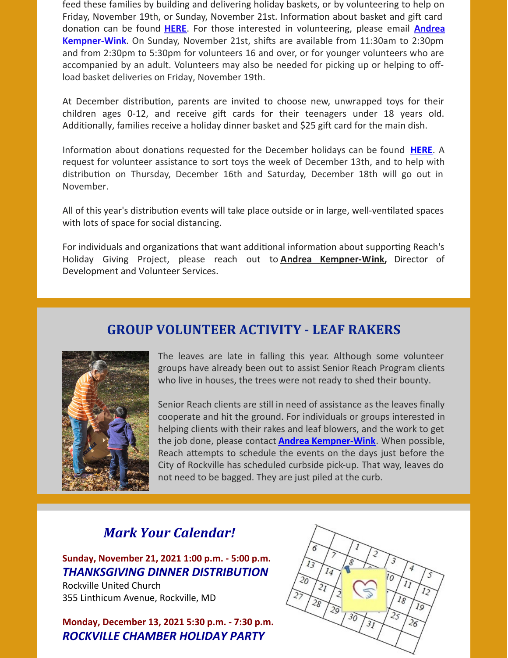feed these families by building and delivering holiday baskets, or by volunteering to help on Friday, November 19th, or Sunday, November 21st. Information about basket and gift card donation can be found **[HERE](https://files.constantcontact.com/c267fd3d201/023fb946-1858-41a3-a5d3-6c127595462e.pdf)**. For those interested in volunteering, please email **Andrea [Kempner-Wink](mailto:andreakwink@cmrocks.org)**. On Sunday, November 21st, shifts are available from 11:30am to 2:30pm and from 2:30pm to 5:30pm for volunteers 16 and over, or for younger volunteers who are accompanied by an adult. Volunteers may also be needed for picking up or helping to offload basket deliveries on Friday, November 19th.

At December distribution, parents are invited to choose new, unwrapped toys for their children ages 0-12, and receive gift cards for their teenagers under 18 years old. Additionally, families receive a holiday dinner basket and \$25 gift card for the main dish.

Information about donations requested for the December holidays can be found **[HERE](https://files.constantcontact.com/c267fd3d201/18901512-dabb-42f7-b39e-d3337d3ee6fa.pdf)**. A request for volunteer assistance to sort toys the week of December 13th, and to help with distribution on Thursday, December 16th and Saturday, December 18th will go out in November.

All of this year's distribution events will take place outside or in large, well-ventilated spaces with lots of space for social distancing.

For individuals and organizations that want additional information about supporting Reach's Holiday Giving Project, please reach out to **Andrea [Kempner-Wink,](mailto:andreakwink@cmrocks.org)** Director of Development and Volunteer Services.

### **GROUP VOLUNTEER ACTIVITY - LEAF RAKERS**



The leaves are late in falling this year. Although some volunteer groups have already been out to assist Senior Reach Program clients who live in houses, the trees were not ready to shed their bounty.

Senior Reach clients are still in need of assistance as the leaves finally cooperate and hit the ground. For individuals or groups interested in helping clients with their rakes and leaf blowers, and the work to get the job done, please contact **Andrea [Kempner-Wink](mailto:andreakwink@cmrocks.org)**. When possible, Reach attempts to schedule the events on the days just before the City of Rockville has scheduled curbside pick-up. That way, leaves do not need to be bagged. They are just piled at the curb.

### *Mark Your Calendar!*

**Sunday, November 21, 2021 1:00 p.m. - 5:00 p.m.** *THANKSGIVING DINNER DISTRIBUTION*

Rockville United Church 355 Linthicum Avenue, Rockville, MD

**Monday, December 13, 2021 5:30 p.m. - 7:30 p.m.** *ROCKVILLE CHAMBER HOLIDAY PARTY*

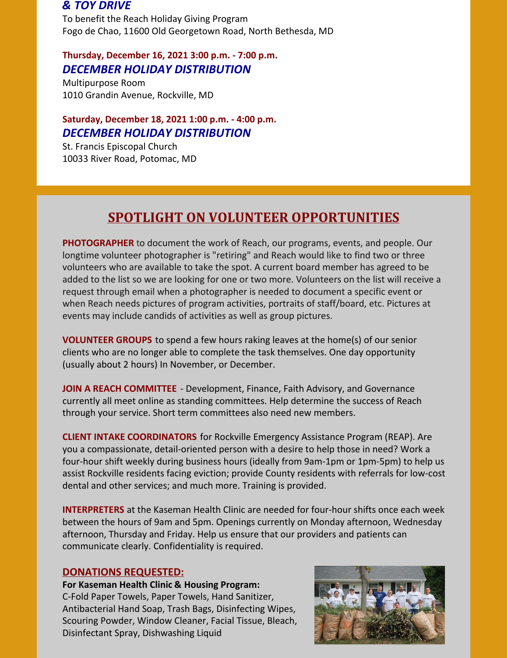#### *& TOY DRIVE*

To benefit the Reach Holiday Giving Program Fogo de Chao, 11600 Old Georgetown Road, North Bethesda, MD

### **Thursday, December 16, 2021 3:00 p.m. - 7:00 p.m.** *DECEMBER HOLIDAY DISTRIBUTION*

Multipurpose Room 1010 Grandin Avenue, Rockville, MD

### **Saturday, December 18, 2021 1:00 p.m. - 4:00 p.m.** *DECEMBER HOLIDAY DISTRIBUTION*

St. Francis Episcopal Church 10033 River Road, Potomac, MD

## **SPOTLIGHT ON VOLUNTEER OPPORTUNITIES**

**PHOTOGRAPHER** to document the work of Reach, our programs, events, and people. Our longtime volunteer photographer is "retiring" and Reach would like to find two or three volunteers who are available to take the spot. A current board member has agreed to be added to the list so we are looking for one or two more. Volunteers on the list will receive a request through email when a photographer is needed to document a specific event or when Reach needs pictures of program activities, portraits of staff/board, etc. Pictures at events may include candids of activities as well as group pictures.

**VOLUNTEER GROUPS** to spend a few hours raking leaves at the home(s) of our senior clients who are no longer able to complete the task themselves. One day opportunity (usually about 2 hours) In November, or December.

**JOIN A REACH COMMITTEE** - Development, Finance, Faith Advisory, and Governance currently all meet online as standing committees. Help determine the success of Reach through your service. Short term committees also need new members.

**CLIENT INTAKE COORDINATORS** for Rockville Emergency Assistance Program (REAP). Are you a compassionate, detail-oriented person with a desire to help those in need? Work a four-hour shift weekly during business hours (ideally from 9am-1pm or 1pm-5pm) to help us assist Rockville residents facing eviction; provide County residents with referrals for low-cost dental and other services; and much more. Training is provided.

**INTERPRETERS** at the Kaseman Health Clinic are needed for four-hour shifts once each week between the hours of 9am and 5pm. Openings currently on Monday afternoon, Wednesday afternoon, Thursday and Friday. Help us ensure that our providers and patients can communicate clearly. Confidentiality is required.

#### **DONATIONS REQUESTED:**

**For Kaseman Health Clinic & Housing Program:** C-Fold Paper Towels, Paper Towels, Hand Sanitizer, Antibacterial Hand Soap, Trash Bags, Disinfecting Wipes, Scouring Powder, Window Cleaner, Facial Tissue, Bleach, Disinfectant Spray, Dishwashing Liquid